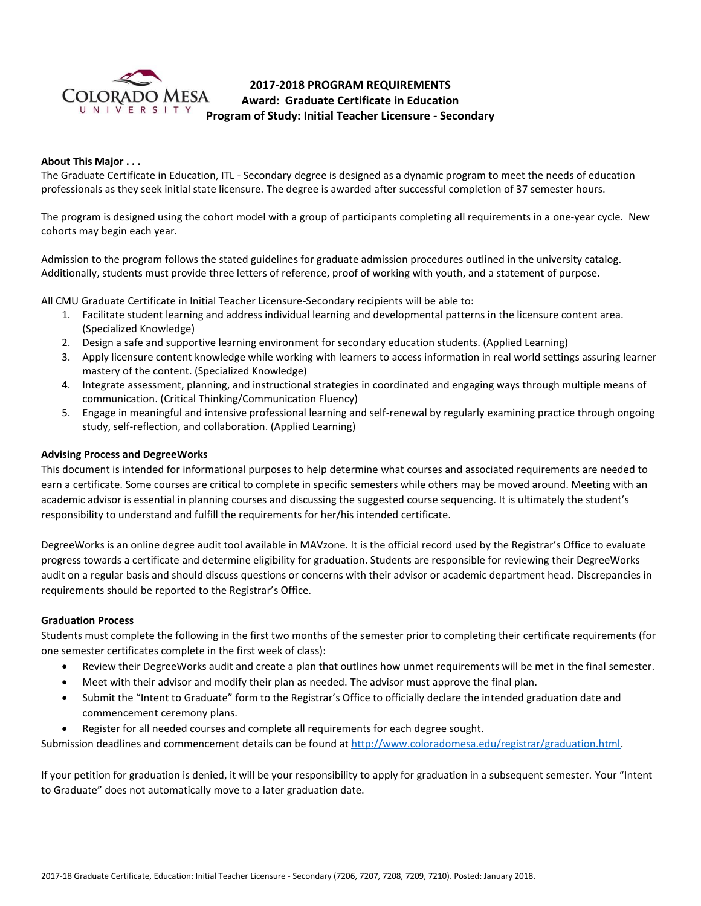

# **2017-2018 PROGRAM REQUIREMENTS Award: Graduate Certificate in Education Program of Study: Initial Teacher Licensure - Secondary**

## **About This Major . . .**

The Graduate Certificate in Education, ITL - Secondary degree is designed as a dynamic program to meet the needs of education professionals as they seek initial state licensure. The degree is awarded after successful completion of 37 semester hours.

The program is designed using the cohort model with a group of participants completing all requirements in a one-year cycle. New cohorts may begin each year.

Admission to the program follows the stated guidelines for graduate admission procedures outlined in the university catalog. Additionally, students must provide three letters of reference, proof of working with youth, and a statement of purpose.

All CMU Graduate Certificate in Initial Teacher Licensure-Secondary recipients will be able to:

- 1. Facilitate student learning and address individual learning and developmental patterns in the licensure content area. (Specialized Knowledge)
- 2. Design a safe and supportive learning environment for secondary education students. (Applied Learning)
- 3. Apply licensure content knowledge while working with learners to access information in real world settings assuring learner mastery of the content. (Specialized Knowledge)
- 4. Integrate assessment, planning, and instructional strategies in coordinated and engaging ways through multiple means of communication. (Critical Thinking/Communication Fluency)
- 5. Engage in meaningful and intensive professional learning and self-renewal by regularly examining practice through ongoing study, self-reflection, and collaboration. (Applied Learning)

### **Advising Process and DegreeWorks**

This document is intended for informational purposes to help determine what courses and associated requirements are needed to earn a certificate. Some courses are critical to complete in specific semesters while others may be moved around. Meeting with an academic advisor is essential in planning courses and discussing the suggested course sequencing. It is ultimately the student's responsibility to understand and fulfill the requirements for her/his intended certificate.

DegreeWorks is an online degree audit tool available in MAVzone. It is the official record used by the Registrar's Office to evaluate progress towards a certificate and determine eligibility for graduation. Students are responsible for reviewing their DegreeWorks audit on a regular basis and should discuss questions or concerns with their advisor or academic department head. Discrepancies in requirements should be reported to the Registrar's Office.

#### **Graduation Process**

Students must complete the following in the first two months of the semester prior to completing their certificate requirements (for one semester certificates complete in the first week of class):

- Review their DegreeWorks audit and create a plan that outlines how unmet requirements will be met in the final semester.
- Meet with their advisor and modify their plan as needed. The advisor must approve the final plan.
- Submit the "Intent to Graduate" form to the Registrar's Office to officially declare the intended graduation date and commencement ceremony plans.
- Register for all needed courses and complete all requirements for each degree sought.

Submission deadlines and commencement details can be found at [http://www.coloradomesa.edu/registrar/graduation.html.](http://www.coloradomesa.edu/registrar/graduation.html)

If your petition for graduation is denied, it will be your responsibility to apply for graduation in a subsequent semester. Your "Intent to Graduate" does not automatically move to a later graduation date.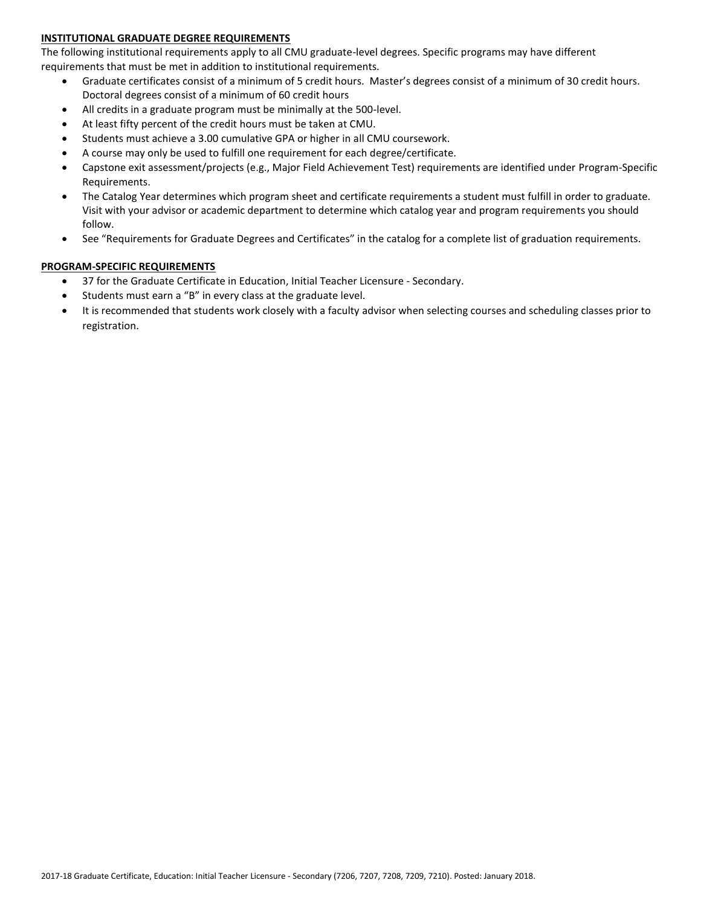## **INSTITUTIONAL GRADUATE DEGREE REQUIREMENTS**

The following institutional requirements apply to all CMU graduate-level degrees. Specific programs may have different requirements that must be met in addition to institutional requirements.

- Graduate certificates consist of a minimum of 5 credit hours. Master's degrees consist of a minimum of 30 credit hours. Doctoral degrees consist of a minimum of 60 credit hours
- All credits in a graduate program must be minimally at the 500-level.
- At least fifty percent of the credit hours must be taken at CMU.
- Students must achieve a 3.00 cumulative GPA or higher in all CMU coursework.
- A course may only be used to fulfill one requirement for each degree/certificate.
- Capstone exit assessment/projects (e.g., Major Field Achievement Test) requirements are identified under Program-Specific Requirements.
- The Catalog Year determines which program sheet and certificate requirements a student must fulfill in order to graduate. Visit with your advisor or academic department to determine which catalog year and program requirements you should follow.
- See "Requirements for Graduate Degrees and Certificates" in the catalog for a complete list of graduation requirements.

## **PROGRAM-SPECIFIC REQUIREMENTS**

- 37 for the Graduate Certificate in Education, Initial Teacher Licensure Secondary.
- Students must earn a "B" in every class at the graduate level.
- It is recommended that students work closely with a faculty advisor when selecting courses and scheduling classes prior to registration.